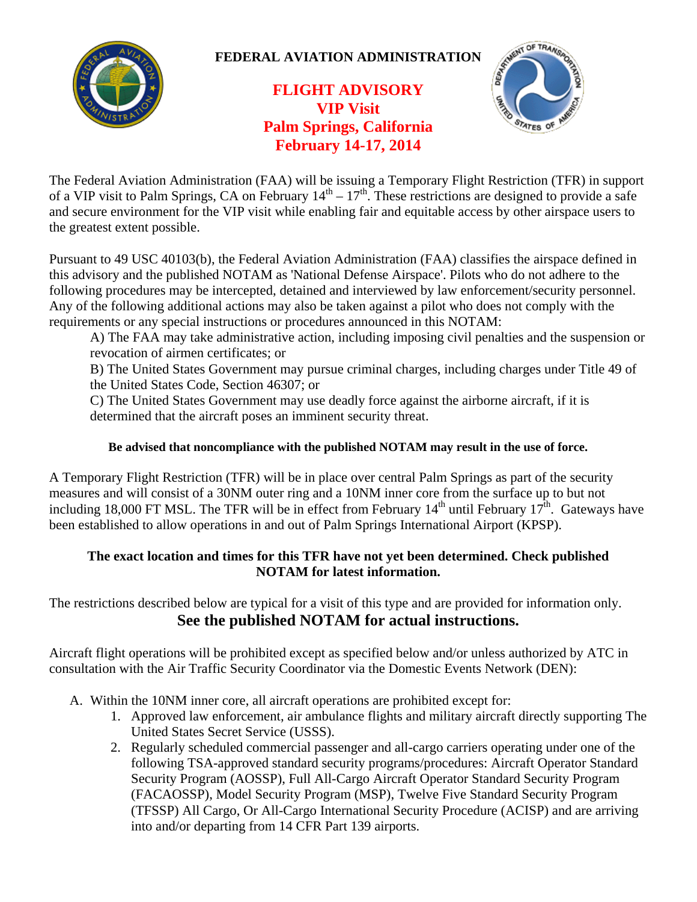

## **FEDERAL AVIATION ADMINISTRATION**

# **FLIGHT ADVISORY VIP Visit Palm Springs, California February 14-17, 2014**



The Federal Aviation Administration (FAA) will be issuing a Temporary Flight Restriction (TFR) in support of a VIP visit to Palm Springs, CA on February  $14^{th} - 17^{th}$ . These restrictions are designed to provide a safe and secure environment for the VIP visit while enabling fair and equitable access by other airspace users to the greatest extent possible.

Pursuant to 49 USC 40103(b), the Federal Aviation Administration (FAA) classifies the airspace defined in this advisory and the published NOTAM as 'National Defense Airspace'. Pilots who do not adhere to the following procedures may be intercepted, detained and interviewed by law enforcement/security personnel. Any of the following additional actions may also be taken against a pilot who does not comply with the requirements or any special instructions or procedures announced in this NOTAM:

A) The FAA may take administrative action, including imposing civil penalties and the suspension or revocation of airmen certificates; or

B) The United States Government may pursue criminal charges, including charges under Title 49 of the United States Code, Section 46307; or

C) The United States Government may use deadly force against the airborne aircraft, if it is determined that the aircraft poses an imminent security threat.

#### **Be advised that noncompliance with the published NOTAM may result in the use of force.**

A Temporary Flight Restriction (TFR) will be in place over central Palm Springs as part of the security measures and will consist of a 30NM outer ring and a 10NM inner core from the surface up to but not including 18,000 FT MSL. The TFR will be in effect from February  $14<sup>th</sup>$  until February  $17<sup>th</sup>$ . Gateways have been established to allow operations in and out of Palm Springs International Airport (KPSP).

#### **The exact location and times for this TFR have not yet been determined. Check published NOTAM for latest information.**

The restrictions described below are typical for a visit of this type and are provided for information only. **See the published NOTAM for actual instructions.**

Aircraft flight operations will be prohibited except as specified below and/or unless authorized by ATC in consultation with the Air Traffic Security Coordinator via the Domestic Events Network (DEN):

- A. Within the 10NM inner core, all aircraft operations are prohibited except for:
	- 1. Approved law enforcement, air ambulance flights and military aircraft directly supporting The United States Secret Service (USSS).
	- 2. Regularly scheduled commercial passenger and all-cargo carriers operating under one of the following TSA-approved standard security programs/procedures: Aircraft Operator Standard Security Program (AOSSP), Full All-Cargo Aircraft Operator Standard Security Program (FACAOSSP), Model Security Program (MSP), Twelve Five Standard Security Program (TFSSP) All Cargo, Or All-Cargo International Security Procedure (ACISP) and are arriving into and/or departing from 14 CFR Part 139 airports.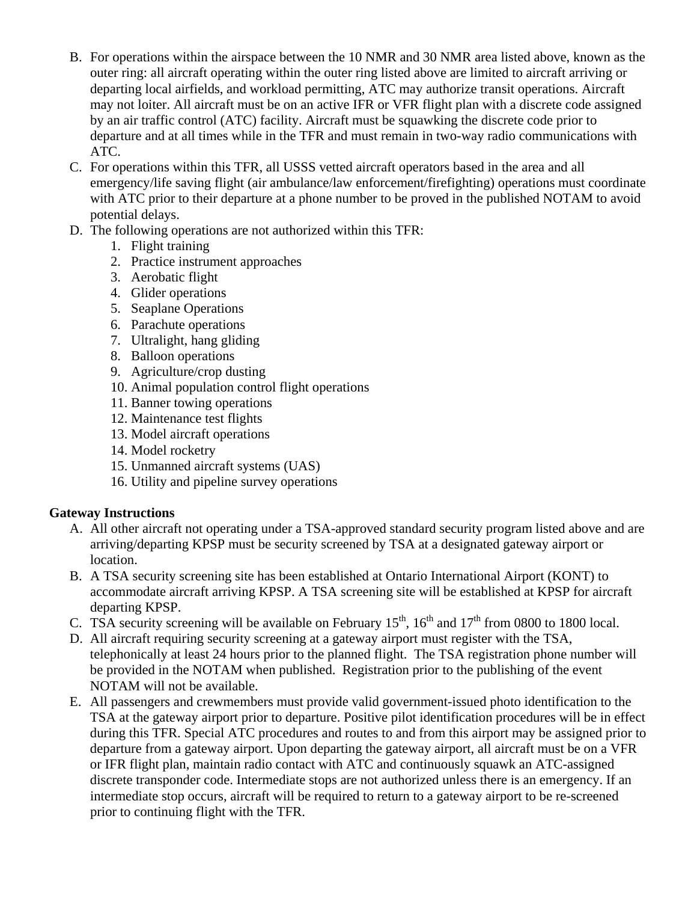- B. For operations within the airspace between the 10 NMR and 30 NMR area listed above, known as the outer ring: all aircraft operating within the outer ring listed above are limited to aircraft arriving or departing local airfields, and workload permitting, ATC may authorize transit operations. Aircraft may not loiter. All aircraft must be on an active IFR or VFR flight plan with a discrete code assigned by an air traffic control (ATC) facility. Aircraft must be squawking the discrete code prior to departure and at all times while in the TFR and must remain in two-way radio communications with ATC.
- C. For operations within this TFR, all USSS vetted aircraft operators based in the area and all emergency/life saving flight (air ambulance/law enforcement/firefighting) operations must coordinate with ATC prior to their departure at a phone number to be proved in the published NOTAM to avoid potential delays.
- D. The following operations are not authorized within this TFR:
	- 1. Flight training
	- 2. Practice instrument approaches
	- 3. Aerobatic flight
	- 4. Glider operations
	- 5. Seaplane Operations
	- 6. Parachute operations
	- 7. Ultralight, hang gliding
	- 8. Balloon operations
	- 9. Agriculture/crop dusting
	- 10. Animal population control flight operations
	- 11. Banner towing operations
	- 12. Maintenance test flights
	- 13. Model aircraft operations
	- 14. Model rocketry
	- 15. Unmanned aircraft systems (UAS)
	- 16. Utility and pipeline survey operations

### **Gateway Instructions**

- A. All other aircraft not operating under a TSA-approved standard security program listed above and are arriving/departing KPSP must be security screened by TSA at a designated gateway airport or location.
- B. A TSA security screening site has been established at Ontario International Airport (KONT) to accommodate aircraft arriving KPSP. A TSA screening site will be established at KPSP for aircraft departing KPSP.
- C. TSA security screening will be available on February 15<sup>th</sup>, 16<sup>th</sup> and 17<sup>th</sup> from 0800 to 1800 local.
- D. All aircraft requiring security screening at a gateway airport must register with the TSA, telephonically at least 24 hours prior to the planned flight. The TSA registration phone number will be provided in the NOTAM when published. Registration prior to the publishing of the event NOTAM will not be available.
- E. All passengers and crewmembers must provide valid government-issued photo identification to the TSA at the gateway airport prior to departure. Positive pilot identification procedures will be in effect during this TFR. Special ATC procedures and routes to and from this airport may be assigned prior to departure from a gateway airport. Upon departing the gateway airport, all aircraft must be on a VFR or IFR flight plan, maintain radio contact with ATC and continuously squawk an ATC-assigned discrete transponder code. Intermediate stops are not authorized unless there is an emergency. If an intermediate stop occurs, aircraft will be required to return to a gateway airport to be re-screened prior to continuing flight with the TFR.